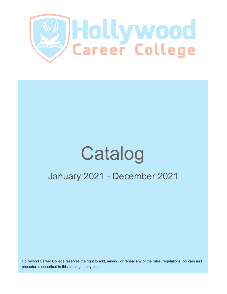

# January 2021 - December 2021 Catalog

Hollywood Career College reserves the right to add, amend, or repeal any of the rules, regulations, policies and procedures described in this catalog at any time.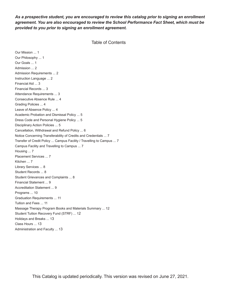# *As a prospective student, you are encouraged to review this catalog prior to signing an enrollment agreement. You are also encouraged to review the School Performance Fact Sheet, which must be provided to you prior to signing an enrollment agreement.*

```
Table of Contents
```
Our Mission ... 1 Our Philosophy ... 1 Our Goals ... 1 Admission ... 2 Admission Requirements ... 2 Instruction Language ... 2 Financial Aid ... 3 Financial Records ... 3 Attendance Requirements ... 3 Consecutive Absence Rule ... 4 Grading Policies ... 4 Leave of Absence Policy ... 4 Academic Probation and Dismissal Policy ... 5 Dress Code and Personal Hygiene Policy ... 5 Disciplinary Action Policies ... 5 Cancellation, Withdrawal and Refund Policy ... 6 Notice Concerning Transferability of Credits and Credentials ... 7 Transfer of Credit Policy ... Campus Facility / Travelling to Campus ... 7 Campus Facility and Travelling to Campus ... 7 Housing ... 7 Placement Services ... 7 Kitchen ... 7 Library Services ... 8 Student Records ... 8 Student Grievances and Complaints ... 8 Financial Statement ... 9 Accreditation Statement ... 9 Programs ... 10 Graduation Requirements ... 11 Tuition and Fees ... 11 Massage Therapy Program Books and Materials Summary ... 12 Student Tuition Recovery Fund (STRF) ... 12 Holidays and Breaks ... 13 Class Hours ... 13 Administration and Faculty ... 13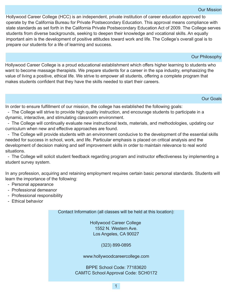Hollywood Career College (HCC) is an independent, private institution of career education approved to operate by the California Bureau for Private Postsecondary Education. This approval means compliance with state standards as set forth in the California Private Postsecondary Education Act of 2009. The College serves students from diverse backgrounds, seeking to deepen their knowledge and vocational skills. An equally important aim is the development of positive attitudes toward work and life. The College's overall goal is to prepare our students for a life of learning and success.

Our Philosophy

Hollywood Career College is a proud educational establishment which offers higher learning to students who want to become massage therapists. We prepare students for a career in the spa industry, emphasizing the value of living a positive, ethical life. We strive to empower all students, offering a complete program that makes students confident that they have the skills needed to start their careers.

Our Goals

In order to ensure fulfillment of our mission, the college has established the following goals:

 The College will strive to provide high quality instruction, and encourage students to participate in a dynamic, interactive, and stimulating classroom environment.

 The College will continually evaluate new instructional texts, materials, and methodologies, updating our curriculum when new and effective approaches are found.

 The College will provide students with an environment conducive to the development of the essential skills needed for success in school, work, and life. Particular emphasis is placed on critical analysis and the development of decision making and self improvement skills in order to maintain relevance to real world situations.

 The College will solicit student feedback regarding program and instructor effectiveness by implementing a student survey system.

In any profession, acquiring and retaining employment requires certain basic personal standards. Students will learn the importance of the following:

- Personal appearance
- Professional demeanor
- Professional responsibility
- Ethical behavior

Contact Information (all classes will be held at this location):

Hollywood Career College 1552 N. Western Ave. Los Angeles, CA 90027

(323) 899-0895

www.hollywoodcareercollege.com

BPPE School Code: 77183620 CAMTC School Approval Code: SCH0172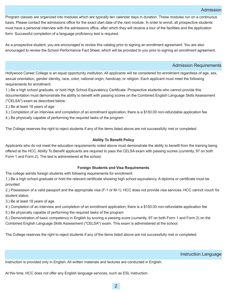Program classes are organized into modules which are typically ten calendar days in duration. These modules run on a continuous basis. Please contact the admissions office for the exact start date of the next module. In order to enroll, all prospective students must have a personal interview with the admissions office, after which they will receive a tour of the facilities and the application form. Successful completion of a language proficiency test is required.

As a prospective student, you are encouraged to review this catalog prior to signing an enrollment agreement. You are also encouraged to review the School Performance Fact Sheet, which will be provided to you prior to signing an enrollment agreement.

# Admission Requirements

Hollywood Career College is an equal opportunity institution. All applicants will be considered for enrollment regardless of age, sex, sexual orientation, gender identity, race, color, national origin, handicap, or religion. Each applicant must meet the following requirements for enrollment:

1.) Be a high school graduate, or hold High School Equivalency Certificate. Prospective students who cannot provide this documentation must demonstrate the ability to benefit with passing scores on the Combined English Language Skills Assessment ("CELSA") exam as described below.

2.) Be at least 18 years of age

3.) Completion of an interview and completion of an enrollment application; there is a \$150.00 nonrefundable application fee

4.) Be physically capable of performing the required tasks of the program

The College reserves the right to reject students if any of the items listed above are not successfully met or completed.

# **Ability To Benefit Policy**

Applicants who do not meet the education requirements noted above must demonstrate the ability to benefit from the training being offered at the HCC. Ability To Benefit applicants are required to pass the CELSA exam with passing scores (currently, 97 on both Form 1 and Form 2). The test is administered at the school.

## **Foreign Students and Visa Requirements**

The college admits foreign students with following requirements for enrollment:

1.) Be a high school graduate or hold the relevant certificate showing high school equivalency. A diploma or certificate must be provided.

2.) Possession of a valid passport and the appropriate visa (F-1 or M-1). HCC does not provide visa services. HCC cannot vouch for student status.

3.) Be at least 18 years of age

4.) Completion of an interview and completion of an enrollment application; there is a \$150.00 nonrefundable application fee

5.) Be physically capable of performing the required tasks of the program

6.) Demonstration of basic competency in English by scoring a passing score (currently, 97 on both Form 1 and Form 2) on the Combined English Language Skills Assessment ("CELSA") exam. This exam is administered at the school.

The College reserves the right to reject students if any of the items listed above are not successfully met or completed.

Instruction Language

Instruction is provided only in English. All written materials and lectures are conducted in English.

At this time, HCC does not offer any English language services, such as ESL instruction.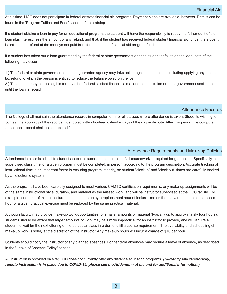At his time, HCC does not participate in federal or state financial aid programs. Payment plans are available, however. Details can be found in the 'Program Tuition and Fees' section of this catalog.

If a student obtains a loan to pay for an educational program, the student will have the responsibility to repay the full amount of the loan plus interest, less the amount of any refund, and that, if the student has received federal student financial aid funds, the student is entitled to a refund of the moneys not paid from federal student financial aid program funds.

If a student has taken out a loan guaranteed by the federal or state government and the student defaults on the loan, both of the following may occur:

1.) The federal or state government or a loan guarantee agency may take action against the student, including applying any income tax refund to which the person is entitled to reduce the balance owed on the loan.

2.) The student may not be eligible for any other federal student financial aid at another institution or other government assistance until the loan is repaid.

# Attendance Records

The College shall maintain the attendance records in computer form for all classes where attendance is taken. Students wishing to contest the accuracy of the records must do so within fourteen calendar days of the day in dispute. After this period, the computer attendance record shall be considered final.

# Attendance Requirements and Make-up Policies

Attendance in class is critical to student academic success - completion of all coursework is required for graduation. Specifically, all supervised class time for a given program must be completed, in person, according to the program description. Accurate tracking of instructional time is an important factor in ensuring program integrity, so student "clock in" and "clock out" times are carefully tracked by an electronic system.

As the programs have been carefully designed to meet various CAMTC certification requirments, any make-up assignments will be of the same instructional style, duration, and material as the missed work, and will be instructor supervised at the HCC facility. For example, one hour of missed lecture must be made up by a replacement hour of lecture time on the relevant material; one missed hour of a given practical exercise must be replaced by the same practical material.

Although faculty may provide make-up work opportunities for smaller amounts of material (typically up to approximately four hours), students should be aware that larger amounts of work may be simply impractical for an instructor to provide, and will require a student to wait for the next offering of the particular class in order to fulfill a course requirement. The availability and scheduling of make-up work is solely at the discretion of the instructor. Any make-up hours will incur a charge of \$10 per hour.

Students should notify the instructor of any planned absences. Longer term absences may require a leave of absence, as described in the "Leave of Absence Policy" section.

All instruction is provided on site; HCC does not currently offer any distance education programs. *(Currently and temporarily,* remote instruction is in place due to COVID-19; please see the Addendum at the end for additional information.)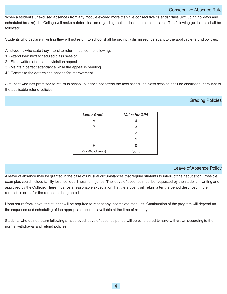# Consecutive Absence Rule

When a student's unexcused absences from any module exceed more than five consecutive calendar days (excluding holidays and scheduled breaks), the College will make a determination regarding that student's enrollment status. The following guidelines shall be followed:

Students who declare in writing they will not return to school shall be promptly dismissed, persuant to the applicable refund policies.

All students who state they intend to return must do the following:

- 1.) Attend their next scheduled class session
- 2.) File a written attendance violation appeal
- 3.) Maintain perfect attendance while the appeal is pending
- 4.) Commit to the determined actions for improvement

A student who has promised to return to school, but does not attend the next scheduled class session shall be dismissed, persuant to the applicable refund policies.

# Grading Policies

| <b>Letter Grade</b> | <b>Value for GPA</b> |
|---------------------|----------------------|
|                     |                      |
| B                   | 3                    |
| C.                  | 2                    |
|                     |                      |
|                     |                      |
| W (Withdrawn)       | None                 |

# Leave of Absence Policy

A leave of absence may be granted in the case of unusual circumstances that require students to interrupt their education. Possible examples could include family loss, serious illness, or injuries. The leave of absence must be requested by the student in writing and approved by the College. There must be a reasonable expectation that the student will return after the period described in the request, in order for the request to be granted.

Upon return from leave, the student will be required to repeat any incomplete modules. Continuation of the program will depend on the sequence and scheduling of the appropriate courses available at the time of re-entry.

Students who do not return following an approved leave of absence period will be considered to have withdrawn according to the normal withdrawal and refund policies.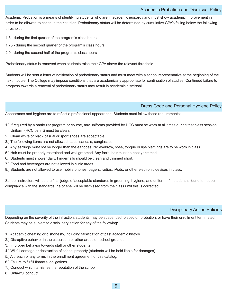# Academic Probation and Dismissal Policy

Academic Probation is a means of identifying students who are in academic jeopardy and must show academic improvement in order to be allowed to continue their studies. Probationary status will be determined by cumulative GPA's falling below the following thresholds:

- 1.5 during the first quarter of the program's class hours
- 1.75 during the second quarter of the program's class hours
- 2.0 during the second half of the program's class hours

Probationary status is removed when students raise their GPA above the relevant threshold.

Students will be sent a letter of notification of probationary status and must meet with a school representative at the beginning of the next module. The College may impose conditions that are academically appropriate for continuation of studies. Continued failure to progress towards a removal of probationary status may result in academic dismissal.

# Dress Code and Personal Hygiene Policy

Appearance and hygiene are to reflect a professional appearance. Students must follow these requirements:

- 1.) If required by a particular program or course, any uniforms provided by HCC must be worn at all times during that class session. Uniform (HCC t-shirt) must be clean.
- 2.) Clean white or black casual or sport shoes are acceptable.
- 3.) The following items are not allowed: caps, sandals, sunglasses.
- 4.) Any earrings must not be longer than the earlobes. No eyebrow, nose, tongue or lips piercings are to be worn in class.
- 5.) Hair must be properly restrained and well groomed. Any facial hair must be neatly trimmed.
- 6.) Students must shower daily. Fingernails should be clean and trimmed short.
- 7.) Food and beverages are not allowed in clinic areas.
- 8.) Students are not allowed to use mobile phones, pagers, radios, iPods, or other electronic devices in class.

School instructors will be the final judge of acceptable standards in grooming, hygiene, and uniform. If a student is found to not be in compliance with the standards, he or she will be dismissed from the class until this is corrected.

# Disciplinary Action Policies

Depending on the severity of the infraction, students may be suspended, placed on probation, or have their enrollment terminated. Students may be subject to disciplinary action for any of the following:

- 1.) Academic cheating or dishonesty, including falsification of past academic history.
- 2.) Disruptive behavior in the classroom or other areas on school grounds.
- 3.) Improper behavior towards staff or other students.
- 4.) Willful damage or destruction of school property (students will be held liable for damages).
- 5.) A breach of any terms in the enrollment agreement or this catalog.
- 6.) Failure to fulfill financial obligations.
- 7.) Conduct which tarnishes the reputation of the school.
- 8.) Unlawful conduct.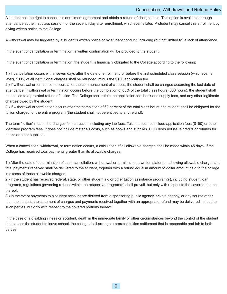## Cancellation, Withdrawal and Refund Policy

A student has the right to cancel this enrollment agreement and obtain a refund of charges paid. This option is available through attendance at the first class session, or the seventh day after enrollment, whichever is later. A student may cancel this enrollment by giving written notice to the College.

A withdrawal may be triggered by a student's written notice or by student conduct, including (but not limited to) a lack of attendence.

In the event of cancellation or termination, a written confirmation will be provided to the student.

In the event of cancellation or termination, the student is financially obligated to the College according to the following:

1.) If cancellation occurs within seven days after the date of enrollment, or before the first scheduled class session (whichever is later), 100% of all institutional charges shall be refunded, minus the \$150 application fee.

2.) If withdrawal or termination occurs after the commencement of classes, the student shall be charged according the last date of attendance. If withdrawal or termination occurs before the completion of 60% of the total class hours (300 hours), the student shall be entitled to a prorated refund of tuition. The College shall retain the application fee, book and supply fees, and any other legitimate charges owed by the student.

3.) If withdrawal or termination occurs after the completion of 60 percent of the total class hours, the student shall be obligated for the tuition charged for the entire program (the student shall not be entitled to any refund);

The term "tuition" means the charges for instruction including any lab fees. Tuition does not include application fees (\$150) or other identified program fees. It does not include materials costs, such as books and supplies. HCC does not issue credits or refunds for books or other supplies.

When a cancellation, withdrawal, or termination occurs, a calculation of all allowable charges shall be made within 45 days. If the College has received total payments greater than its allowable charges:

1.) After the date of determination of such cancellation, withdrawal or termination, a written statement showing allowable charges and total payments received shall be delivered to the student, together with a refund equal in amount to dollar amount paid to the college in excess of those allowable charges.

2.) If the student has received federal, state, or other student aid or other tuition assistance program(s), including student loan programs, regulations governing refunds within the respective program(s) shall prevail, but only with respect to the covered portions thereof.

3.) In the event payments to a student account are derived from a sponsoring public agency, private agency, or any source other than the student, the statement of charges and payments received together with an appropriate refund may be delivered instead to such parties, but only with respect to the covered portions thereof.

In the case of a disabling illness or accident, death in the immediate family or other circumstances beyond the control of the student that causes the student to leave school, the college shall arrange a prorated tuition settlement that is reasonable and fair to both parties.

6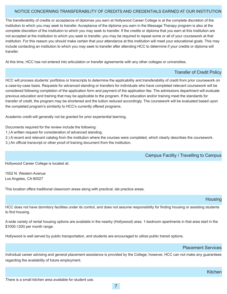# NOTICE CONCERNING TRANSFERABILITY OF CREDITS AND CREDENTIALS EARNED AT OUR INSTITUTION

The transferability of credits or acceptance of diplomas you earn at Hollywood Career College is at the complete discretion of the institution to which you may seek to transfer. Acceptance of the diploma you earn in the Massage Therapy program is also at the complete discretion of the institution to which you may seek to transfer. If the credits or diploma that you earn at this institution are not accepted at the institution to which you seek to transfer, you may be required to repeat some or all of your coursework at that institution. For this reason you should make certain that your attendance at this institution will meet your educational goals. This may include contacting an institution to which you may seek to transfer after attending HCC to determine if your credits or diploma will transfer.

At this time, HCC has not entered into articulation or transfer agreements with any other colleges or universities.

## Transfer of Credit Policy

HCC will process students' portfolios or transcripts to determine the applicability and transferability of credit from prior coursework on a case-by-case basis. Requests for advanced standing or transfers for individuals who have completed relevant coursework will be considered following completion of the application form and payment of the application fee. The admissions department will evaluate previous education and training that may be applicable to the program. If the education and/or training meet the standards for transfer of credit, the program may be shortened and the tuition reduced accordingly. The coursework will be evaluated based upon the completed program's similarity to HCC's currently offered programs.

Academic credit will generally not be granted for prior experiential learning.

Documents required for the review include the following:

- 1.) A written request for consideration of advanced standing.
- 2.) A recent and relevant catalog from the institution where the courses were completed, which clearly describes the coursework.
- 3.) An official transcript or other proof of training document from the institution.

Campus Facility / Travelling to Campus

Hollywood Career College is located at:

1552 N. Western Avenue Los Angeles, CA 90027

This location offers traditional classroom areas along with practical, lab practice areas.

## **Housing**

Kitchen

HCC does not have dormitory facilities under its control, and does not assume responsibility for finding housing or assisting students to find housing.

A wide variety of rental housing options are available in the nearby (Hollywood) area. 1-bedroom apartments in that area start in the \$1000-1200 per month range.

Hollywood is well served by public transportation, and students are encouraged to utilize public transit options.

## Placement Services

Individual career advising and general placement assistance is provided by the College; however, HCC can not make any guarantees regarding the availability of future employment.

7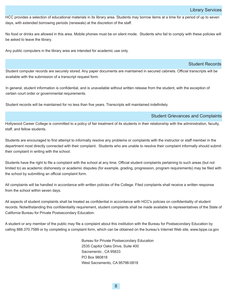HCC provides a selection of educational materials in its library area. Students may borrow items at a time for a period of up to seven days, with extended borrowing periods (renewals) at the discretion of the staff.

No food or drinks are allowed in this area. Mobile phones must be on silent mode. Students who fail to comply with these policies will be asked to leave the library.

Any public computers in the library area are intended for academic use only.

#### Student Records

Student computer records are securely stored. Any paper documents are maintained in secured cabinets. Official transcripts will be available with the submission of a transcript request form.

In general, student information is confidential, and is unavailable without written release from the student, with the exception of certain court order or governmental requirements.

Student records will be maintained for no less than five years. Transcripts will maintained indefinitely.

#### Student Grievances and Complaints

Hollywood Career College is committed to a policy of fair treatment of its students in their relationship with the administration, faculty, staff, and fellow students.

Students are encouraged to first attempt to informally resolve any problems or complaints with the instructor or staff member in the department most directly connected with their complaint. Students who are unable to resolve their complaint informally should submit their complaint in writing with the school.

Students have the right to file a complaint with the school at any time. Official student complaints pertaining to such areas (but not limited to) as academic dishonesty or academic disputes (for example, grading, progression, program requirements) may be filed with the school by submitting an official complaint form.

All complaints will be handled in accordance with written policies of the College. Filed complaints shall receive a written response from the school within seven days.

All aspects of student complaints shall be treated as confidential in accordance with HCC's policies on confidentiality of student records. Notwithstanding this confidentiality requirement, student complaints shall be made available to representatives of the State of California Bureau for Private Postsecondary Education.

A student or any member of the public may file a complaint about this institution with the Bureau for Postsecondary Education by calling 888.370.7589 or by completing a complaint form, which can be obtained on the bureau's Internet Web site, www.bppe.ca.gov

> Bureau for Private Postsecondary Education 2535 Capitol Oaks Drive, Suite 400 Sacramento , CA 95833 PO Box 980818 West Sacramento, CA 95798-0818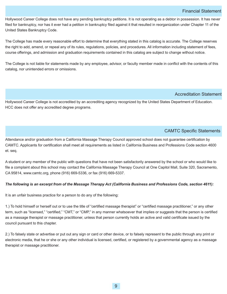## Financial Statement

Hollywood Career College does not have any pending bankruptcy petitions. It is not operating as a debtor in possession. It has never filed for bankruptcy, nor has it ever had a petition in bankruptcy filed against it that resulted in reorganization under Chapter 11 of the United States Bankruptcy Code.

The College has made every reasonable effort to determine that everything stated in this catalog is accurate. The College reserves the right to add, amend, or repeal any of its rules, regulations, policies, and procedures. All information including statement of fees, course offerings, and admission and graduation requirements contained in this catalog are subject to change without notice.

The College is not liable for statements made by any employee, advisor, or faculty member made in conflict with the contents of this catalog, nor unintended errors or omissions.

# Accreditation Statement

Hollywood Career College is not accredited by an accrediting agency recognized by the United States Department of Education. HCC does not offer any accredited degree programs.

# CAMTC Specific Statements

Attendance and/or graduation from a California Massage Therapy Council approved school does not guarantee certification by CAMTC. Applicants for certification shall meet all requirements as listed in California Business and Professions Code section 4600 et. seq.

A student or any member of the public with questions that have not been satisfactorily answered by the school or who would like to file a complaint about this school may contact the California Massage Therapy Council at One Capitol Mall, Suite 320, Sacramento, CA 95814, www.camtc.org, phone (916) 669-5336, or fax (916) 669-5337.

#### The following is an excerpt from of the Massage Therapy Act (California Business and Professions Code, section 4611):

It is an unfair business practice for a person to do any of the following:

1.) To hold himself or herself out or to use the title of "certified massage therapist" or "certified massage practitioner," or any other term, such as "licensed," "certified," "CMT," or "CMP," in any manner whatsoever that implies or suggests that the person is certified as a massage therapist or massage practitioner, unless that person currently holds an active and valid certificate issued by the council pursuant to this chapter.

2.) To falsely state or advertise or put out any sign or card or other device, or to falsely represent to the public through any print or electronic media, that he or she or any other individual is licensed, certified, or registered by a governmental agency as a massage therapist or massage practitioner.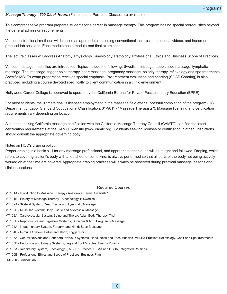#### *Massage Therapy - 500 Clock Hours* (Full-time and Part-time Classes are available)

This comprehensive program prepares students for a career in massage therapy. This program has no special prerequisites beyond the general admission requirements.

Various instructional methods will be used as appropriate, including conventional lectures, instructional videos, and hands-on, practical lab sessions. Each module has a module-end final examination.

The lecture classes will address Anatomy, Physiology, Kinesiology, Pathology, Professional Ethics and Business Scope of Practices.

Various massage modalities are introduced. Topics include the following: Swedish massage, deep tissue massage, lymphatic massage, Thai massage, trigger point therapy, sport massage, pregnancy massage, polarity therapy, reflexology and spa treatments. Specific MBLEx exam preparation receives special emphasis. Pre-treatment evaluation and charting (SOAP Charting) is also practiced, including a course devoted specifically to client communication in a clinic environment.

Hollywood Career College is approved to operate by the California Bureau for Private Postsecondary Education (BPPE).

For most students, the ultimate goal is licensed employment in the massage field after successful completion of the program (US Department of Labor Standard Occupational Classification: 319011 "Massage Therapists"). Massage licensing and certification requirements vary depending on location.

A student seeking California massage certification with the California Massage Therapy Council (CAMTC) can find the latest certification requirements at the CAMTC website (www.camtc.org). Students seeking licenses or certification in other jurisdictions should consult the appropriate governing body.

#### Notes on HCC's draping policy:

Proper draping is a basic skill for any massage professional, and appropriate techniques will be taught and followed. Draping, which refers to covering a client's body with a top sheet of some kind, is always performed so that all parts of the body not being actively worked on at the time are covered. Appropriate draping practices will always be observed during practical massage lessons and clinical sessions.

#### Required Courses

MT101A - Introduction to Massage Therapy - Anatomical Terms; Swedish 1

MT101B - History of Massage Therapy - Kineseology 1; Swedish 2

- MT102A Skeletal System; Deep Tissue and Lymphatic Massage
- MT102B Muscular System; Deep Tissue and Myofascial Massage
- MT103A Cardiovascular System, Spine and Thorax; Asian Body Therapy, Thai
- MT103B Reproductive and Digestive Systems, Shoulder & Arm; Pregnancy Massage
- MT104A Integumentary System, Forearm and Hand; Sport Massage
- MT104B Immune System, Pelvis and Thigh; Trigger Point
- MT105A Central Nervous and Peripheral Nervous Systems, Head, Neck and Face Muscles, MBLEX Practice; Reflexology, Chair and Spa Treatments
- MT105B Endocrine and Urinary Systems, Leg and Foot Muscles; Energy Polarity
- MT106A Respiratory System, Kinesiology 2, MBLEX Practice; HIPAA and OSHA, Integrated Routines
- MT106B Professional Ethics and Scope of Practices; Business Plan

MT200 - Clinical Lab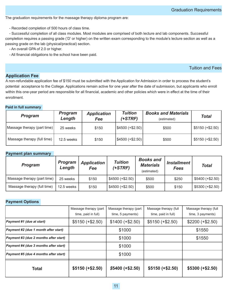The graduation requirements for the massage therapy diploma program are:

Recorded completion of 500 hours of class time.

 Successful completion of all class modules. Most modules are comprised of both lecture and lab components. Successful completion requires a passing grade ('D' or higher) on the written exam corresponding to the module's lecture section as well as a passing grade on the lab (physical/practical) section.

An overall GPA of 2.0 or higher.

All financial obligations to the school have been paid.

## Tuition and Fees

# **Application Fee**

A nonrefundable application fee of \$150 must be submitted with the Application for Admission in order to process the student's potential acceptance to the College. Applications remain active for one year after the date of submission, but applicants who enroll within this one-year period are responsible for all financial, academic and other policies which were in effect at the time of their enrollment.

## **Paid in full summary**

| <b>Program</b>              | <b>Program</b><br>Length | <b>Application</b><br>Fee | <b>Tuition</b><br>$(+STRF)$ | <b>Books and Materials</b><br>(estimated) | Total            |
|-----------------------------|--------------------------|---------------------------|-----------------------------|-------------------------------------------|------------------|
| Massage therapy (part time) | 25 weeks                 | \$150                     | $ $ \$4500 (+\$2.50)        | \$500                                     | $$5150 (+$2.50)$ |
| Massage therapy (full time) | 12.5 weeks               | \$150                     | $ $ \$4500 (+\$2.50)        | \$500                                     | $$5150 (+$2.50)$ |

#### **Payment plan summary**

| <b>Program</b>              | <b>Program</b><br>Length | <b>Application</b><br>Fee | <b>Tuition</b><br>(+STRF) | <b>Books and</b><br><b>Materials</b><br>(estimated) | <i><b>Installment</b></i><br>Fees | <b>Total</b>     |
|-----------------------------|--------------------------|---------------------------|---------------------------|-----------------------------------------------------|-----------------------------------|------------------|
| Massage therapy (part time) | 25 weeks                 | \$150                     | $$4500 (+ $2.50)$         | \$500                                               | \$250                             | $$5400 (+$2.50)$ |
| Massage therapy (full time) | 12.5 weeks               | \$150                     | $$4500 (+ $2.50)$         | \$500                                               | \$150                             | $$5300 (+$2.50)$ |

## **Payment Options**

|                                              | Massage therapy (part | Massage therapy (part | Massage therapy (full | Massage therapy (full |
|----------------------------------------------|-----------------------|-----------------------|-----------------------|-----------------------|
|                                              | time, paid in full)   | time, 5 payments)     | time, paid in full)   | time, 3 payments)     |
| Payment #1 (due at start)                    | $$5150 (+$2.50)$      | $$1400 (+ $2.50)$     | $$5150 (+$2.50)$      | $$2200 (+ $2.50)$     |
| Payment #2 (due 1 month after start)         |                       | \$1000                |                       | \$1550                |
| Payment #3 (due 2 months after start)        |                       | \$1000                |                       | \$1550                |
| <b>Payment #4 (due 3 months after start)</b> |                       | \$1000                |                       |                       |
| Payment #5 (due 4 months after start)        |                       | \$1000                |                       |                       |
| <b>Total</b>                                 | $$5150 (+$2.50)$      | $$5400 (+ $2.50)$     | $$5150 (+$2.50)$      | $$5300 (+ $2.50)$     |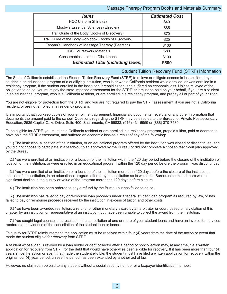# Massage Therapy Program Books and Materials Summary

| <b>Items</b>                                          | <b>Estimated Cost</b> |  |
|-------------------------------------------------------|-----------------------|--|
| HCC Uniform Shirts (2)                                | \$40                  |  |
| Mosby's Essential Sciences (Elsevier)                 | \$85                  |  |
| Trail Guide of the Body (Books of Discovery)          | \$70                  |  |
| Trail Guide of the Body workbook (Books of Discovery) | \$25                  |  |
| Tappan's Handbook of Massage Therapy (Pearson)        | \$100                 |  |
| <b>HCC Coursework Materials</b>                       | \$80                  |  |
| Consumables: Lotions, Oils, Linens                    | \$100                 |  |
| <b>Estimated Total (including taxes)</b>              | \$500                 |  |

# Student Tuition Recovery Fund (STRF) Information

The State of California established the Student Tuition Recovery Fund (STRF) to relieve or mitigate economic loss suffered by a student in an educational program at a qualifying institution, who is or was a California resident while enrolled, or was enrolled in a residency program, if the student enrolled in the institution, prepaid tuition, and suffered an economic loss. Unless relieved of the obligation to do so, you must pay the state-imposed assessment for the STRF, or it must be paid on your behalf, if you are a student in an educational program, who is a California resident, or are enrolled in a residency program, and prepay all or part of your tuition.

You are not eligible for protection from the STRF and you are not required to pay the STRF assessment, if you are not a California resident, or are not enrolled in a residency program.

It is important that you keep copies of your enrollment agreement, financial aid documents, receipts, or any other information that documents the amount paid to the school. Questions regarding the STRF may be directed to the Bureau for Private Postsecondary Education, 2535 Capitol Oaks Drive, Suite 400, Sacramento, CA 95833, (916) 431-6959 or (888) 370-7589.

To be eligible for STRF, you must be a California resident or are enrolled in a residency program, prepaid tuition, paid or deemed to have paid the STRF assessment, and suffered an economic loss as a result of any of the following:

1.) The institution, a location of the institution, or an educational program offered by the institution was closed or discontinued, and you did not choose to participate in a teach-out plan approved by the Bureau or did not complete a chosen teach-out plan approved by the Bureau.

2.) You were enrolled at an institution or a location of the institution within the 120 day period before the closure of the institution or location of the institution, or were enrolled in an educational program within the 120 day period before the program was discontinued.

3.) You were enrolled at an institution or a location of the institution more than 120 days before the closure of the institution or location of the institution, in an educational program offered by the institution as to which the Bureau determined there was a significant decline in the quality or value of the program more than 120 days before closure.

4.) The institution has been ordered to pay a refund by the Bureau but has failed to do so.

5.) The institution has failed to pay or reimburse loan proceeds under a federal student loan program as required by law, or has failed to pay or reimburse proceeds received by the institution in excess of tuition and other costs.

6.) You have been awarded restitution, a refund, or other monetary award by an arbitrator or court, based on a violation of this chapter by an institution or representative of an institution, but have been unable to collect the award from the institution.

7.) You sought legal counsel that resulted in the cancellation of one or more of your student loans and have an invoice for services rendered and evidence of the cancellation of the student loan or loans.

To qualify for STRF reimbursement, the application must be received within four (4) years from the date of the action or event that made the student eligible for recovery from STRF.

A student whose loan is revived by a loan holder or debt collector after a period of noncollection may, at any time, file a written application for recovery from STRF for the debt that would have otherwise been eligible for recovery. If it has been more than four (4) years since the action or event that made the student eligible, the student must have filed a written application for recovery within the original four (4) year period, unless the period has been extended by another act of law.

However, no claim can be paid to any student without a social security number or a taxpayer identification number.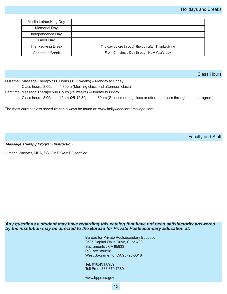| Martin Luther King Day    |                                                   |
|---------------------------|---------------------------------------------------|
| <b>Memorial Day</b>       |                                                   |
| Independence Day          |                                                   |
| Labor Day                 |                                                   |
| <b>Thanksgiving Break</b> | The day before through the day after Thanksgiving |
| Christmas Break           | From Christmas Day through New Year's day         |

Class Hours

Full time: Massage Therapy 500 Hours (12.5 weeks) – Monday to Friday.

Class hours: 8.00am – 4.30pm (Morning class and afternoon class)

Part time: Massage Therapy 500 Hours (25 weeks) –Monday to Friday.

Class hours: 8.00am – 12pm *OR* 12.30pm – 4.30pm (Select morning class or afternoon class throughout the program)

The most current class schedule can always be found at: www.hollywoodcareercollege.com

Faculty and Staff

*Massage Therapy Program Instruction*

Umarin Wachter, MBA, BS, CMT, CAMTC certified

# *Any questions a student may have regarding this catalog that have not been satisfactorily answered by the institution may be directed to the Bureau for Private Postsecondary Education at:*

Bureau for Private Postsecondary Education 2535 Capitol Oaks Drive, Suite 400 Sacramento , CA 95833 PO Box 980818 West Sacramento, CA 95798-0818

Tel: 916.431.6959 Toll Free: 888.370.7589

www.bppe.ca.gov